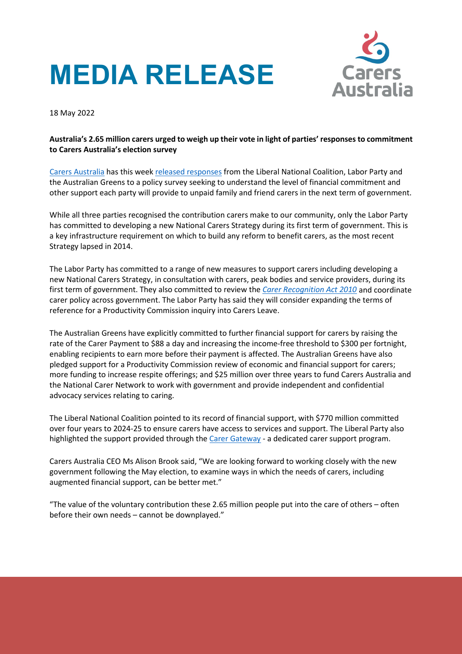# **MEDIA RELEASE**



18 May 2022

## **Australia's 2.65 million carers urged to weigh up their vote in light of parties' responses to commitment to Carers Australia's election survey**

[Carers Australia](https://www.carersaustralia.com.au/) has this week [released responses](https://www.carersaustralia.com.au/wp-content/uploads/2022/05/FINAL_Summary-CA-2022-election-survey.pdf) from the Liberal National Coalition, Labor Party and the Australian Greens to a policy survey seeking to understand the level of financial commitment and other support each party will provide to unpaid family and friend carers in the next term of government.

While all three parties recognised the contribution carers make to our community, only the Labor Party has committed to developing a new National Carers Strategy during its first term of government. This is a key infrastructure requirement on which to build any reform to benefit carers, as the most recent Strategy lapsed in 2014.

The Labor Party has committed to a range of new measures to support carers including developing a new National Carers Strategy, in consultation with carers, peak bodies and service providers, during its first term of government. They also committed to review the *[Carer Recognition Act 2010](http://classic.austlii.edu.au/au/legis/cth/num_act/cra2010179/)* and coordinate carer policy across government. The Labor Party has said they will consider expanding the terms of reference for a Productivity Commission inquiry into Carers Leave.

The Australian Greens have explicitly committed to further financial support for carers by raising the rate of the Carer Payment to \$88 a day and increasing the income-free threshold to \$300 per fortnight, enabling recipients to earn more before their payment is affected. The Australian Greens have also pledged support for a Productivity Commission review of economic and financial support for carers; more funding to increase respite offerings; and \$25 million over three years to fund Carers Australia and the National Carer Network to work with government and provide independent and confidential advocacy services relating to caring.

The Liberal National Coalition pointed to its record of financial support, with \$770 million committed over four years to 2024-25 to ensure carers have access to services and support. The Liberal Party also highlighted the support provided through th[e Carer Gateway](https://www.carergateway.gov.au/) - a dedicated carer support program.

Carers Australia CEO Ms Alison Brook said, "We are looking forward to working closely with the new government following the May election, to examine ways in which the needs of carers, including augmented financial support, can be better met."

"The value of the voluntary contribution these 2.65 million people put into the care of others – often before their own needs – cannot be downplayed."